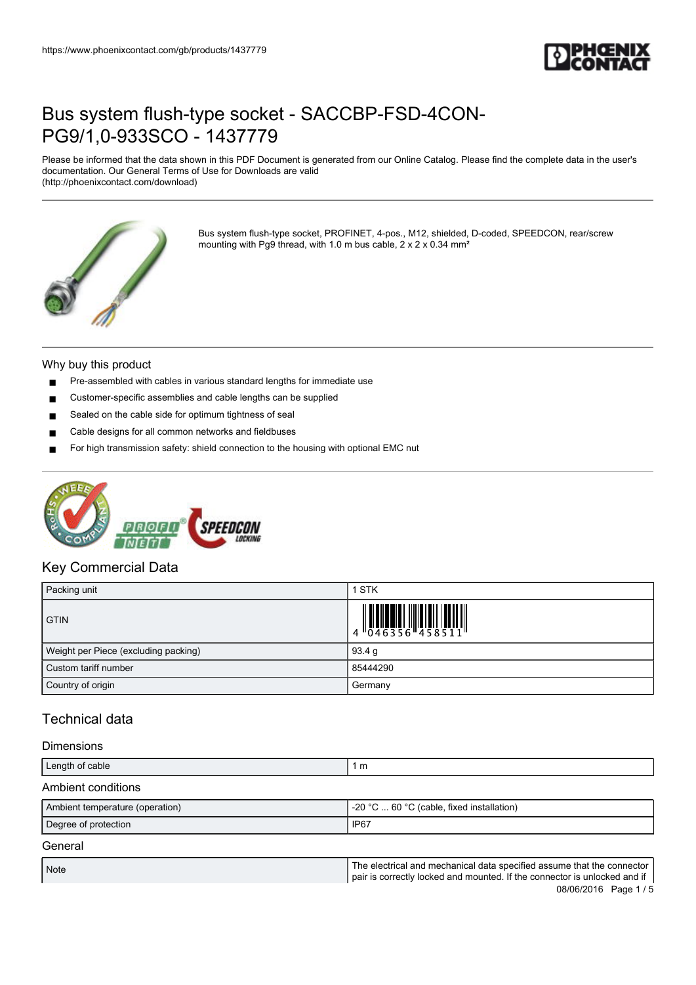

Please be informed that the data shown in this PDF Document is generated from our Online Catalog. Please find the complete data in the user's documentation. Our General Terms of Use for Downloads are valid (http://phoenixcontact.com/download)



Bus system flush-type socket, PROFINET, 4-pos., M12, shielded, D-coded, SPEEDCON, rear/screw mounting with Pg9 thread, with 1.0 m bus cable, 2 x 2 x 0.34 mm²

#### Why buy this product

- Pre-assembled with cables in various standard lengths for immediate use
- Customer-specific assemblies and cable lengths can be supplied
- Sealed on the cable side for optimum tightness of seal
- Cable designs for all common networks and fieldbuses
- For high transmission safety: shield connection to the housing with optional EMC nut



#### Key Commercial Data

| Packing unit                         | <b>STK</b>                                                                |
|--------------------------------------|---------------------------------------------------------------------------|
| <b>GTIN</b>                          | $\begin{array}{c} 1 & 0 & 0 & 0 \\ 0 & 0 & 4 & 6 & 3 & 5 & 6 \end{array}$ |
| Weight per Piece (excluding packing) | 93.4 g                                                                    |
| Custom tariff number                 | 85444290                                                                  |
| Country of origin                    | Germany                                                                   |

### Technical data

#### Dimensions

| Length of cable                 | 1 m                                                                                                                                                 |  |
|---------------------------------|-----------------------------------------------------------------------------------------------------------------------------------------------------|--|
| Ambient conditions              |                                                                                                                                                     |  |
| Ambient temperature (operation) | -20 °C $\dots$ 60 °C (cable, fixed installation)                                                                                                    |  |
| Degree of protection            | IP <sub>67</sub>                                                                                                                                    |  |
| General                         |                                                                                                                                                     |  |
| <b>Note</b>                     | The electrical and mechanical data specified assume that the connector<br>pair is correctly locked and mounted. If the connector is unlocked and if |  |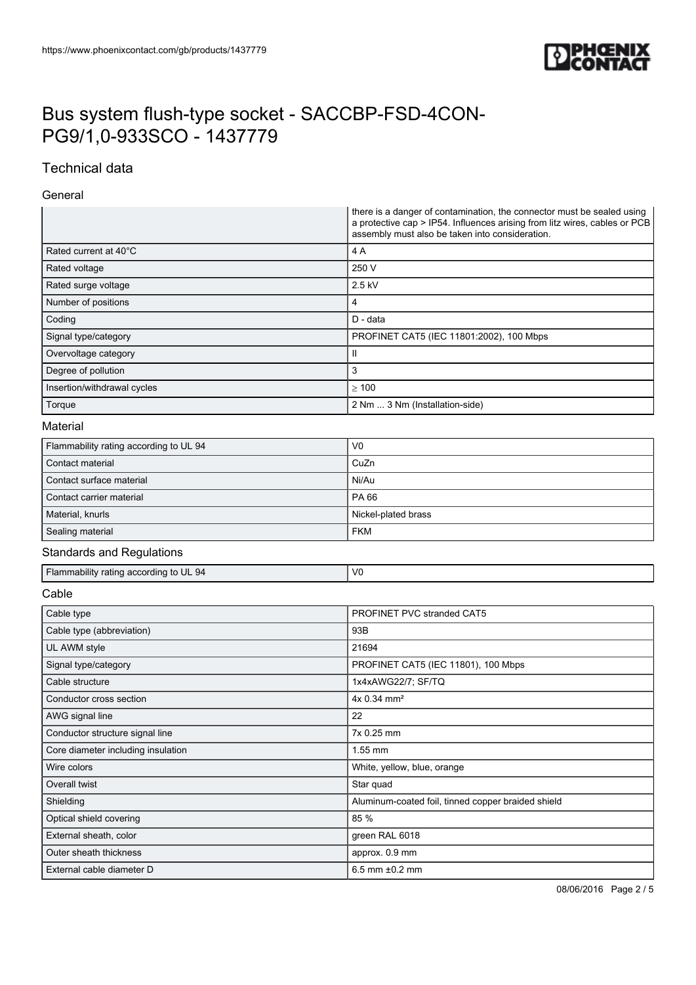

### Technical data

#### General

|                                        | there is a danger of contamination, the connector must be sealed using<br>a protective cap > IP54. Influences arising from litz wires, cables or PCB<br>assembly must also be taken into consideration. |
|----------------------------------------|---------------------------------------------------------------------------------------------------------------------------------------------------------------------------------------------------------|
| Rated current at 40°C                  | 4A                                                                                                                                                                                                      |
| Rated voltage                          | 250 V                                                                                                                                                                                                   |
| Rated surge voltage                    | 2.5 kV                                                                                                                                                                                                  |
| Number of positions                    | 4                                                                                                                                                                                                       |
| Coding                                 | D - data                                                                                                                                                                                                |
| Signal type/category                   | PROFINET CAT5 (IEC 11801:2002), 100 Mbps                                                                                                                                                                |
| Overvoltage category                   | Ш                                                                                                                                                                                                       |
| Degree of pollution                    | 3                                                                                                                                                                                                       |
| Insertion/withdrawal cycles            | $\geq 100$                                                                                                                                                                                              |
| Torque                                 | 2 Nm  3 Nm (Installation-side)                                                                                                                                                                          |
| Material                               |                                                                                                                                                                                                         |
| Flammability rating according to UL 94 | V <sub>0</sub>                                                                                                                                                                                          |
| Contact material                       | CuZn                                                                                                                                                                                                    |
| Contact surface material               | Ni/Au                                                                                                                                                                                                   |
| Contact carrier material               | PA 66                                                                                                                                                                                                   |
| Material, knurls                       | Nickel-plated brass                                                                                                                                                                                     |
| Sealing material                       | <b>FKM</b>                                                                                                                                                                                              |
| <b>Standards and Regulations</b>       |                                                                                                                                                                                                         |
| Flammability rating according to UL 94 | V <sub>0</sub>                                                                                                                                                                                          |
| Cable                                  |                                                                                                                                                                                                         |
| Cable type                             | PROFINET PVC stranded CAT5                                                                                                                                                                              |
| Cable type (abbreviation)              | 93B                                                                                                                                                                                                     |
| UL AWM style                           | 21694                                                                                                                                                                                                   |
| Signal type/category                   | PROFINET CAT5 (IEC 11801), 100 Mbps                                                                                                                                                                     |
| Cable structure                        | 1x4xAWG22/7; SF/TQ                                                                                                                                                                                      |
| Conductor cross section                | 4x 0.34 mm <sup>2</sup>                                                                                                                                                                                 |
| AWG signal line                        | 22                                                                                                                                                                                                      |
| Conductor structure signal line        | 7x 0.25 mm                                                                                                                                                                                              |
| Core diameter including insulation     | 1.55 mm                                                                                                                                                                                                 |
| Wire colors                            | White, yellow, blue, orange                                                                                                                                                                             |
| Overall twist                          | Star quad                                                                                                                                                                                               |
| Shielding                              | Aluminum-coated foil, tinned copper braided shield                                                                                                                                                      |
| Optical shield covering                | 85 %                                                                                                                                                                                                    |
| External sheath, color                 | green RAL 6018                                                                                                                                                                                          |
| Outer sheath thickness                 | approx. 0.9 mm                                                                                                                                                                                          |
| External cable diameter D              | $6.5$ mm $±0.2$ mm                                                                                                                                                                                      |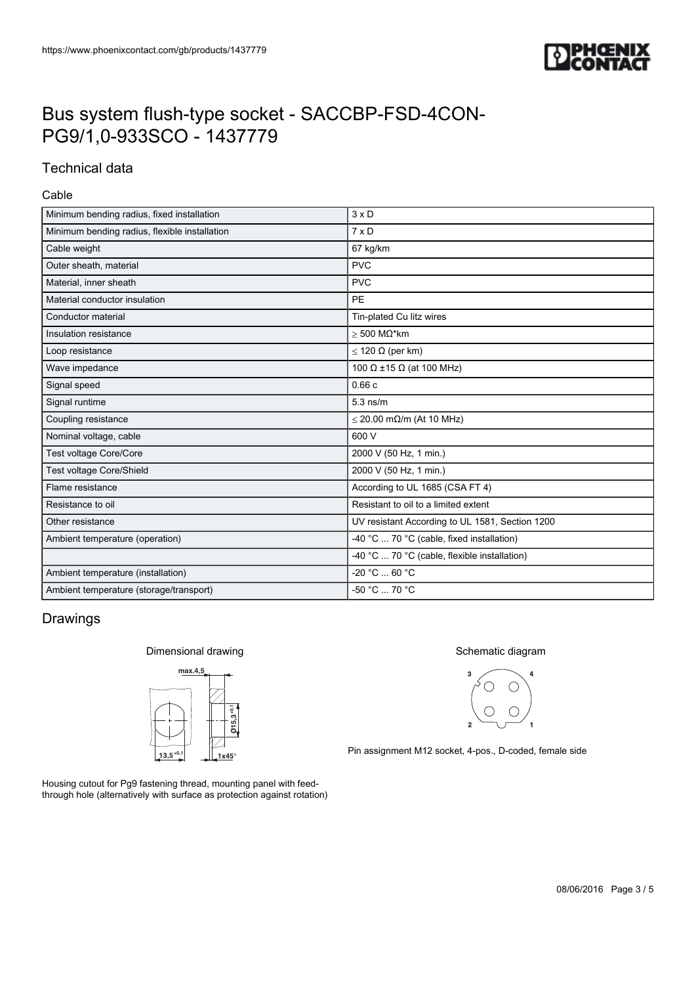

### Technical data

#### Cable

| Minimum bending radius, fixed installation    | $3 \times D$                                    |
|-----------------------------------------------|-------------------------------------------------|
| Minimum bending radius, flexible installation | $7 \times D$                                    |
| Cable weight                                  | 67 kg/km                                        |
| Outer sheath, material                        | <b>PVC</b>                                      |
| Material, inner sheath                        | <b>PVC</b>                                      |
| Material conductor insulation                 | <b>PE</b>                                       |
| Conductor material                            | Tin-plated Cu litz wires                        |
| Insulation resistance                         | $>$ 500 M $\Omega^*$ km                         |
| Loop resistance                               | $\leq$ 120 $\Omega$ (per km)                    |
| Wave impedance                                | 100 $\Omega$ ±15 $\Omega$ (at 100 MHz)          |
| Signal speed                                  | 0.66c                                           |
| Signal runtime                                | $5.3$ ns/m                                      |
| Coupling resistance                           | $\leq$ 20.00 m $\Omega$ /m (At 10 MHz)          |
| Nominal voltage, cable                        | 600 V                                           |
| Test voltage Core/Core                        | 2000 V (50 Hz, 1 min.)                          |
| Test voltage Core/Shield                      | 2000 V (50 Hz, 1 min.)                          |
| Flame resistance                              | According to UL 1685 (CSA FT 4)                 |
| Resistance to oil                             | Resistant to oil to a limited extent            |
| Other resistance                              | UV resistant According to UL 1581, Section 1200 |
| Ambient temperature (operation)               | -40 °C  70 °C (cable, fixed installation)       |
|                                               | -40 °C  70 °C (cable, flexible installation)    |
| Ambient temperature (installation)            | $-20 °C  60 °C$                                 |
| Ambient temperature (storage/transport)       | $-50 °C  70 °C$                                 |

### Drawings

#### Dimensional drawing



Housing cutout for Pg9 fastening thread, mounting panel with feedthrough hole (alternatively with surface as protection against rotation)

#### Schematic diagram



Pin assignment M12 socket, 4-pos., D-coded, female side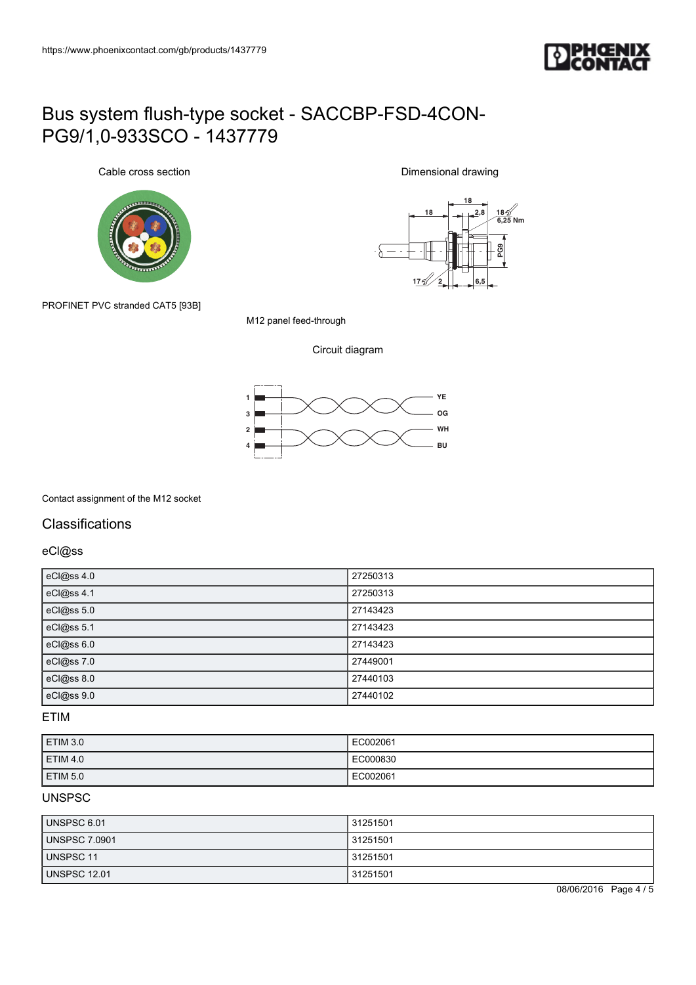

Cable cross section



**18 18 2,8 18 6,25 Nm**  $-\delta$ **F**<br> **PG9**<br> **FG5**<br> **FG5 17 2**

Dimensional drawing

PROFINET PVC stranded CAT5 [93B]

M12 panel feed-through

Circuit diagram



Contact assignment of the M12 socket

### **Classifications**

eCl@ss

| eCl@ss 4.0 | 27250313 |
|------------|----------|
| eCl@ss 4.1 | 27250313 |
| eCl@ss 5.0 | 27143423 |
| eCl@ss 5.1 | 27143423 |
| eCl@ss 6.0 | 27143423 |
| eCl@ss 7.0 | 27449001 |
| eCl@ss 8.0 | 27440103 |
| eCl@ss 9.0 | 27440102 |

#### ETIM

| ETIM 3.0        | EC002061 |
|-----------------|----------|
| <b>ETIM 4.0</b> | EC000830 |
| <b>ETIM 5.0</b> | EC002061 |

#### UNSPSC

| UNSPSC 6.01          | 31251501 |
|----------------------|----------|
| <b>UNSPSC 7.0901</b> | 31251501 |
| UNSPSC 11            | 31251501 |
| <b>UNSPSC 12.01</b>  | 31251501 |

08/06/2016 Page 4 / 5